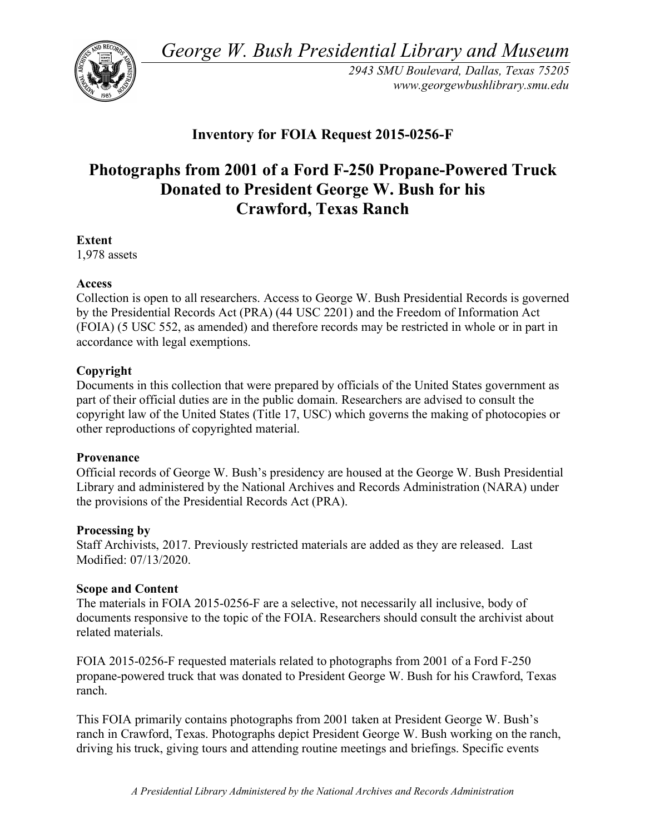*George W. Bush Presidential Library and Museum* 



*2943 SMU Boulevard, Dallas, Texas 75205 <www.georgewbushlibrary.smu.edu>* 

## **Inventory for FOIA Request 2015-0256-F**

# **Photographs from 2001 of a Ford F-250 Propane-Powered Truck Donated to President George W. Bush for his Crawford, Texas Ranch**

#### **Extent**

1,978 assets

#### **Access**

 Collection is open to all researchers. Access to George W. Bush Presidential Records is governed by the Presidential Records Act (PRA) (44 USC 2201) and the Freedom of Information Act (FOIA) (5 USC 552, as amended) and therefore records may be restricted in whole or in part in accordance with legal exemptions.

#### **Copyright**

 Documents in this collection that were prepared by officials of the United States government as part of their official duties are in the public domain. Researchers are advised to consult the copyright law of the United States (Title 17, USC) which governs the making of photocopies or other reproductions of copyrighted material.

#### **Provenance**

 Official records of George W. Bush's presidency are housed at the George W. Bush Presidential Library and administered by the National Archives and Records Administration (NARA) under the provisions of the Presidential Records Act (PRA).

#### **Processing by**

 Staff Archivists, 2017. Previously restricted materials are added as they are released. Last Modified: 07/13/2020.

### **Scope and Content**

 The materials in FOIA 2015-0256-F are a selective, not necessarily all inclusive, body of documents responsive to the topic of the FOIA. Researchers should consult the archivist about related materials.

 FOIA 2015-0256-F requested materials related to photographs from 2001 of a Ford F-250 propane-powered truck that was donated to President George W. Bush for his Crawford, Texas ranch.

 This FOIA primarily contains photographs from 2001 taken at President George W. Bush's ranch in Crawford, Texas. Photographs depict President George W. Bush working on the ranch, driving his truck, giving tours and attending routine meetings and briefings. Specific events